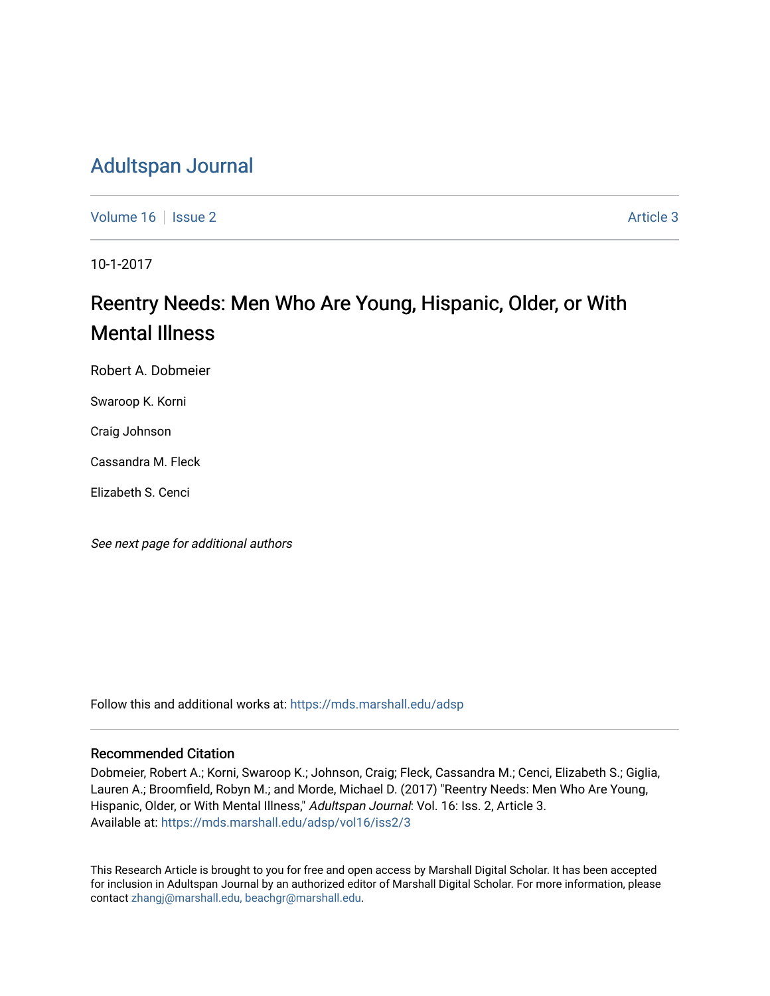# [Adultspan Journal](https://mds.marshall.edu/adsp)

[Volume 16](https://mds.marshall.edu/adsp/vol16) September 2 [Article 3](https://mds.marshall.edu/adsp/vol16/iss2/3) Article 3

10-1-2017

# Reentry Needs: Men Who Are Young, Hispanic, Older, or With Mental Illness

Robert A. Dobmeier

Swaroop K. Korni

Craig Johnson

Cassandra M. Fleck

Elizabeth S. Cenci

See next page for additional authors

Follow this and additional works at: [https://mds.marshall.edu/adsp](https://mds.marshall.edu/adsp?utm_source=mds.marshall.edu%2Fadsp%2Fvol16%2Fiss2%2F3&utm_medium=PDF&utm_campaign=PDFCoverPages) 

#### Recommended Citation

Dobmeier, Robert A.; Korni, Swaroop K.; Johnson, Craig; Fleck, Cassandra M.; Cenci, Elizabeth S.; Giglia, Lauren A.; Broomfield, Robyn M.; and Morde, Michael D. (2017) "Reentry Needs: Men Who Are Young, Hispanic, Older, or With Mental Illness," Adultspan Journal: Vol. 16: Iss. 2, Article 3. Available at: [https://mds.marshall.edu/adsp/vol16/iss2/3](https://mds.marshall.edu/adsp/vol16/iss2/3?utm_source=mds.marshall.edu%2Fadsp%2Fvol16%2Fiss2%2F3&utm_medium=PDF&utm_campaign=PDFCoverPages) 

This Research Article is brought to you for free and open access by Marshall Digital Scholar. It has been accepted for inclusion in Adultspan Journal by an authorized editor of Marshall Digital Scholar. For more information, please contact [zhangj@marshall.edu, beachgr@marshall.edu](mailto:zhangj@marshall.edu,%20beachgr@marshall.edu).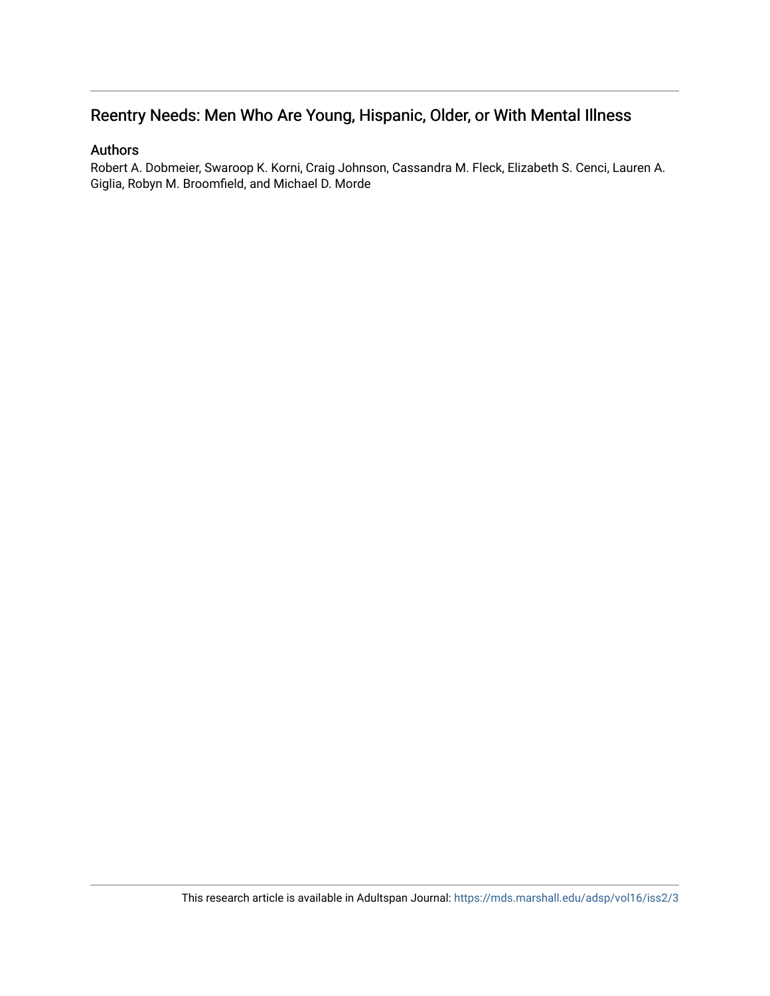# Reentry Needs: Men Who Are Young, Hispanic, Older, or With Mental Illness

## Authors

Robert A. Dobmeier, Swaroop K. Korni, Craig Johnson, Cassandra M. Fleck, Elizabeth S. Cenci, Lauren A. Giglia, Robyn M. Broomfield, and Michael D. Morde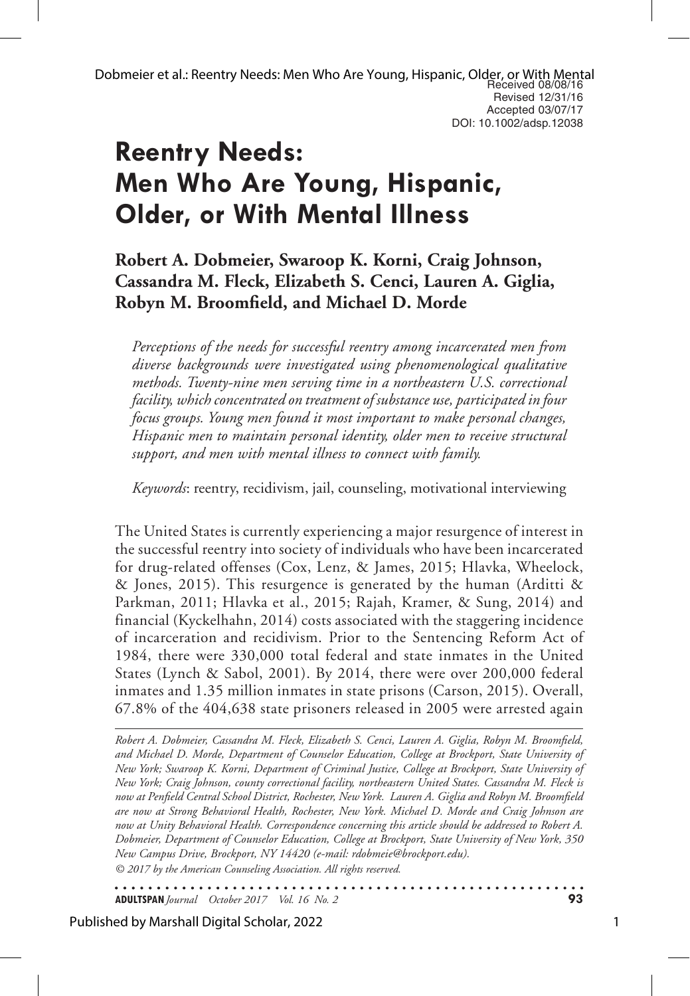# **Reentry Needs: Men Who Are Young, Hispanic, Older, or With Mental Illness**

**Robert A. Dobmeier, Swaroop K. Korni, Craig Johnson, Cassandra M. Fleck, Elizabeth S. Cenci, Lauren A. Giglia, Robyn M. Broomfield, and Michael D. Morde**

*Perceptions of the needs for successful reentry among incarcerated men from diverse backgrounds were investigated using phenomenological qualitative methods. Twenty-nine men serving time in a northeastern U.S. correctional facility, which concentrated on treatment of substance use, participated in four focus groups. Young men found it most important to make personal changes, Hispanic men to maintain personal identity, older men to receive structural support, and men with mental illness to connect with family.* 

*Keywords*: reentry, recidivism, jail, counseling, motivational interviewing

The United States is currently experiencing a major resurgence of interest in the successful reentry into society of individuals who have been incarcerated for drug-related offenses (Cox, Lenz, & James, 2015; Hlavka, Wheelock, & Jones, 2015). This resurgence is generated by the human (Arditti & Parkman, 2011; Hlavka et al., 2015; Rajah, Kramer, & Sung, 2014) and financial (Kyckelhahn, 2014) costs associated with the staggering incidence of incarceration and recidivism. Prior to the Sentencing Reform Act of 1984, there were 330,000 total federal and state inmates in the United States (Lynch & Sabol, 2001). By 2014, there were over 200,000 federal inmates and 1.35 million inmates in state prisons (Carson, 2015). Overall, 67.8% of the 404,638 state prisoners released in 2005 were arrested again

*© 2017 by the American Counseling Association. All rights reserved. Robert A. Dobmeier, Cassandra M. Fleck, Elizabeth S. Cenci, Lauren A. Giglia, Robyn M. Broomfield, and Michael D. Morde, Department of Counselor Education, College at Brockport, State University of New York; Swaroop K. Korni, Department of Criminal Justice, College at Brockport, State University of New York; Craig Johnson, county correctional facility, northeastern United States. Cassandra M. Fleck is now at Penfield Central School District, Rochester, New York. Lauren A. Giglia and Robyn M. Broomfield are now at Strong Behavioral Health, Rochester, New York. Michael D. Morde and Craig Johnson are now at Unity Behavioral Health. Correspondence concerning this article should be addressed to Robert A. Dobmeier, Department of Counselor Education, College at Brockport, State University of New York, 350 New Campus Drive, Brockport, NY 14420 (e-mail: rdobmeie@brockport.edu).* 

. . . . . . . . . . . . . . . . . . . . . . . . . . . . . . . . . . **ADULTSPAN***Journal October 2017 Vol. 16 No. 2* **93**

Published by Marshall Digital Scholar, 2022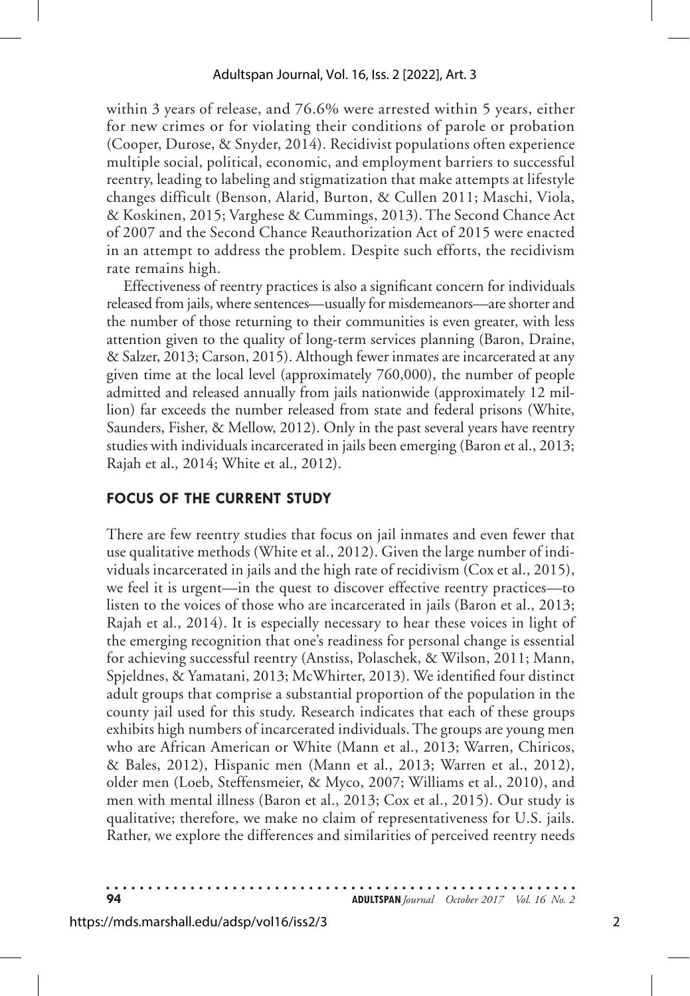within 3 years of release, and 76.6% were arrested within 5 years, either for new crimes or for violating their conditions of parole or probation (Cooper, Durose, & Snyder, 2014). Recidivist populations often experience multiple social, political, economic, and employment barriers to successful reentry, leading to labeling and stigmatization that make attempts at lifestyle changes difficult (Benson, Alarid, Burton, & Cullen 2011; Maschi, Viola, & Koskinen, 2015; Varghese & Cummings, 2013). The Second Chance Act of 2007 and the Second Chance Reauthorization Act of 2015 were enacted in an attempt to address the problem. Despite such efforts, the recidivism rate remains high.

Effectiveness of reentry practices is also a significant concern for individuals released from jails, where sentences—usually for misdemeanors—are shorter and the number of those returning to their communities is even greater, with less attention given to the quality of long-term services planning (Baron, Draine, & Salzer, 2013; Carson, 2015). Although fewer inmates are incarcerated at any given time at the local level (approximately 760,000), the number of people admitted and released annually from jails nationwide (approximately 12 million) far exceeds the number released from state and federal prisons (White, Saunders, Fisher, & Mellow, 2012). Only in the past several years have reentry studies with individuals incarcerated in jails been emerging (Baron et al., 2013; Rajah et al., 2014; White et al., 2012).

# **FOCUS OF THE CURRENT STUDY**

There are few reentry studies that focus on jail inmates and even fewer that use qualitative methods (White et al., 2012). Given the large number of individuals incarcerated in jails and the high rate of recidivism (Cox et al., 2015), we feel it is urgent—in the quest to discover effective reentry practices—to listen to the voices of those who are incarcerated in jails (Baron et al., 2013; Rajah et al., 2014). It is especially necessary to hear these voices in light of the emerging recognition that one's readiness for personal change is essential for achieving successful reentry (Anstiss, Polaschek, & Wilson, 2011; Mann, Spjeldnes, & Yamatani, 2013; McWhirter, 2013). We identified four distinct adult groups that comprise a substantial proportion of the population in the county jail used for this study. Research indicates that each of these groups exhibits high numbers of incarcerated individuals. The groups are young men who are African American or White (Mann et al., 2013; Warren, Chiricos, & Bales, 2012), Hispanic men (Mann et al., 2013; Warren et al., 2012), older men (Loeb, Steffensmeier, & Myco, 2007; Williams et al., 2010), and men with mental illness (Baron et al., 2013; Cox et al., 2015). Our study is qualitative; therefore, we make no claim of representativeness for U.S. jails. Rather, we explore the differences and similarities of perceived reentry needs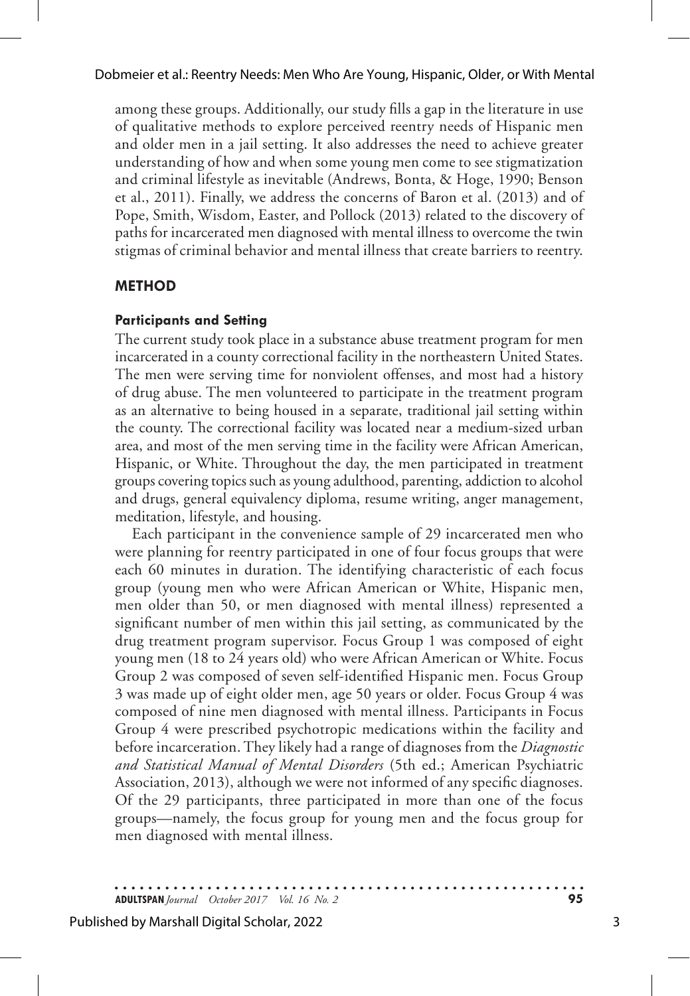among these groups. Additionally, our study fills a gap in the literature in use of qualitative methods to explore perceived reentry needs of Hispanic men and older men in a jail setting. It also addresses the need to achieve greater understanding of how and when some young men come to see stigmatization and criminal lifestyle as inevitable (Andrews, Bonta, & Hoge, 1990; Benson et al., 2011). Finally, we address the concerns of Baron et al. (2013) and of Pope, Smith, Wisdom, Easter, and Pollock (2013) related to the discovery of paths for incarcerated men diagnosed with mental illness to overcome the twin stigmas of criminal behavior and mental illness that create barriers to reentry.

#### **METHOD**

#### **Participants and Setting**

The current study took place in a substance abuse treatment program for men incarcerated in a county correctional facility in the northeastern United States. The men were serving time for nonviolent offenses, and most had a history of drug abuse. The men volunteered to participate in the treatment program as an alternative to being housed in a separate, traditional jail setting within the county. The correctional facility was located near a medium-sized urban area, and most of the men serving time in the facility were African American, Hispanic, or White. Throughout the day, the men participated in treatment groups covering topics such as young adulthood, parenting, addiction to alcohol and drugs, general equivalency diploma, resume writing, anger management, meditation, lifestyle, and housing.

Each participant in the convenience sample of 29 incarcerated men who were planning for reentry participated in one of four focus groups that were each 60 minutes in duration. The identifying characteristic of each focus group (young men who were African American or White, Hispanic men, men older than 50, or men diagnosed with mental illness) represented a significant number of men within this jail setting, as communicated by the drug treatment program supervisor. Focus Group 1 was composed of eight young men (18 to 24 years old) who were African American or White. Focus Group 2 was composed of seven self-identified Hispanic men. Focus Group 3 was made up of eight older men, age 50 years or older. Focus Group 4 was composed of nine men diagnosed with mental illness. Participants in Focus Group 4 were prescribed psychotropic medications within the facility and before incarceration. They likely had a range of diagnoses from the *Diagnostic and Statistical Manual of Mental Disorders* (5th ed.; American Psychiatric Association, 2013), although we were not informed of any specific diagnoses. Of the 29 participants, three participated in more than one of the focus groups—namely, the focus group for young men and the focus group for men diagnosed with mental illness.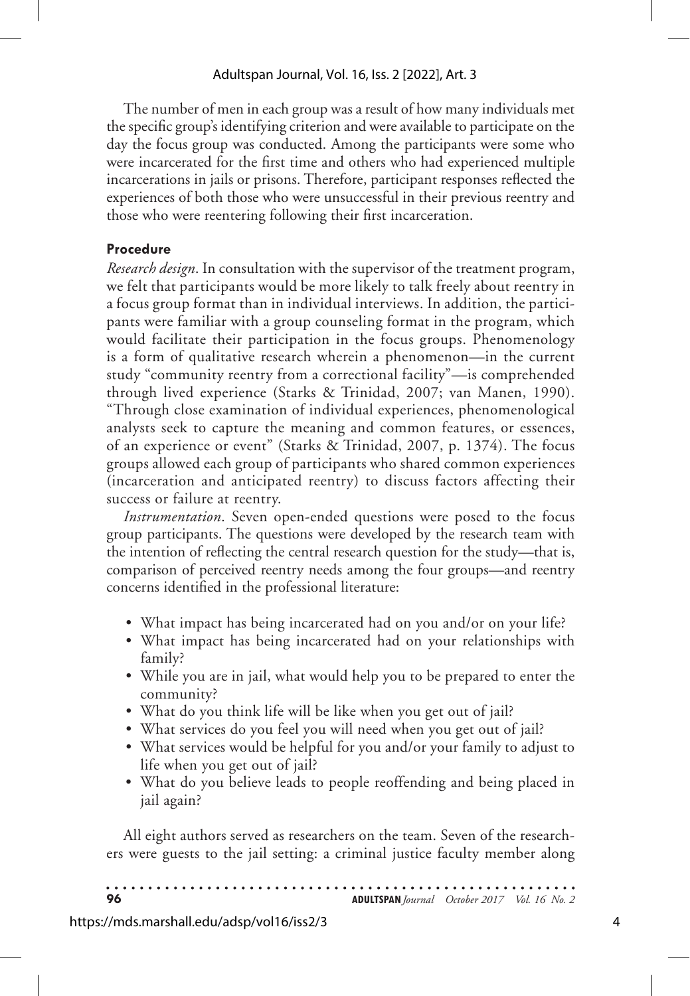The number of men in each group was a result of how many individuals met the specific group's identifying criterion and were available to participate on the day the focus group was conducted. Among the participants were some who were incarcerated for the first time and others who had experienced multiple incarcerations in jails or prisons. Therefore, participant responses reflected the experiences of both those who were unsuccessful in their previous reentry and those who were reentering following their first incarceration.

## **Procedure**

*Research design*. In consultation with the supervisor of the treatment program, we felt that participants would be more likely to talk freely about reentry in a focus group format than in individual interviews. In addition, the participants were familiar with a group counseling format in the program, which would facilitate their participation in the focus groups. Phenomenology is a form of qualitative research wherein a phenomenon—in the current study "community reentry from a correctional facility"—is comprehended through lived experience (Starks & Trinidad, 2007; van Manen, 1990). "Through close examination of individual experiences, phenomenological analysts seek to capture the meaning and common features, or essences, of an experience or event" (Starks & Trinidad, 2007, p. 1374). The focus groups allowed each group of participants who shared common experiences (incarceration and anticipated reentry) to discuss factors affecting their success or failure at reentry.

*Instrumentation*. Seven open-ended questions were posed to the focus group participants. The questions were developed by the research team with the intention of reflecting the central research question for the study—that is, comparison of perceived reentry needs among the four groups—and reentry concerns identified in the professional literature:

- What impact has being incarcerated had on you and/or on your life?
- What impact has being incarcerated had on your relationships with family?
- While you are in jail, what would help you to be prepared to enter the community?
- What do you think life will be like when you get out of jail?
- What services do you feel you will need when you get out of jail?
- What services would be helpful for you and/or your family to adjust to life when you get out of jail?
- What do you believe leads to people reoffending and being placed in jail again?

All eight authors served as researchers on the team. Seven of the researchers were guests to the jail setting: a criminal justice faculty member along

| - 96 | <b>ADULTSPAN</b> Journal October 2017 Vol. 16 No. 2 |  |
|------|-----------------------------------------------------|--|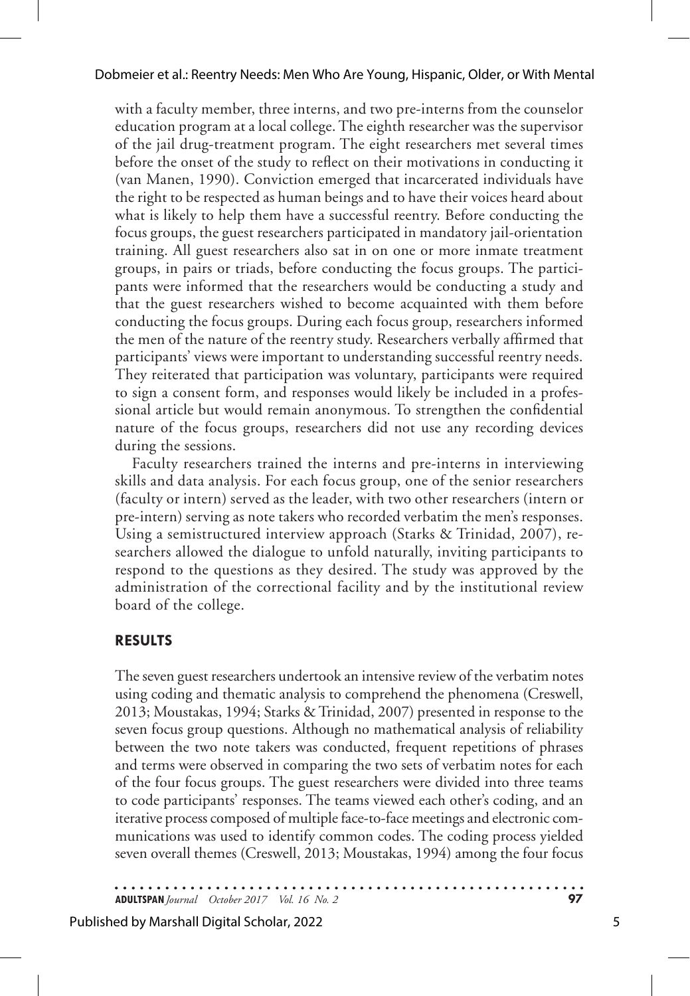#### Dobmeier et al.: Reentry Needs: Men Who Are Young, Hispanic, Older, or With Mental

with a faculty member, three interns, and two pre-interns from the counselor education program at a local college. The eighth researcher was the supervisor of the jail drug-treatment program. The eight researchers met several times before the onset of the study to reflect on their motivations in conducting it (van Manen, 1990). Conviction emerged that incarcerated individuals have the right to be respected as human beings and to have their voices heard about what is likely to help them have a successful reentry. Before conducting the focus groups, the guest researchers participated in mandatory jail-orientation training. All guest researchers also sat in on one or more inmate treatment groups, in pairs or triads, before conducting the focus groups. The participants were informed that the researchers would be conducting a study and that the guest researchers wished to become acquainted with them before conducting the focus groups. During each focus group, researchers informed the men of the nature of the reentry study. Researchers verbally affirmed that participants' views were important to understanding successful reentry needs. They reiterated that participation was voluntary, participants were required to sign a consent form, and responses would likely be included in a professional article but would remain anonymous. To strengthen the confidential nature of the focus groups, researchers did not use any recording devices during the sessions.

Faculty researchers trained the interns and pre-interns in interviewing skills and data analysis. For each focus group, one of the senior researchers (faculty or intern) served as the leader, with two other researchers (intern or pre-intern) serving as note takers who recorded verbatim the men's responses. Using a semistructured interview approach (Starks & Trinidad, 2007), researchers allowed the dialogue to unfold naturally, inviting participants to respond to the questions as they desired. The study was approved by the administration of the correctional facility and by the institutional review board of the college.

#### **RESULTS**

The seven guest researchers undertook an intensive review of the verbatim notes using coding and thematic analysis to comprehend the phenomena (Creswell, 2013; Moustakas, 1994; Starks & Trinidad, 2007) presented in response to the seven focus group questions. Although no mathematical analysis of reliability between the two note takers was conducted, frequent repetitions of phrases and terms were observed in comparing the two sets of verbatim notes for each of the four focus groups. The guest researchers were divided into three teams to code participants' responses. The teams viewed each other's coding, and an iterative process composed of multiple face-to-face meetings and electronic communications was used to identify common codes. The coding process yielded seven overall themes (Creswell, 2013; Moustakas, 1994) among the four focus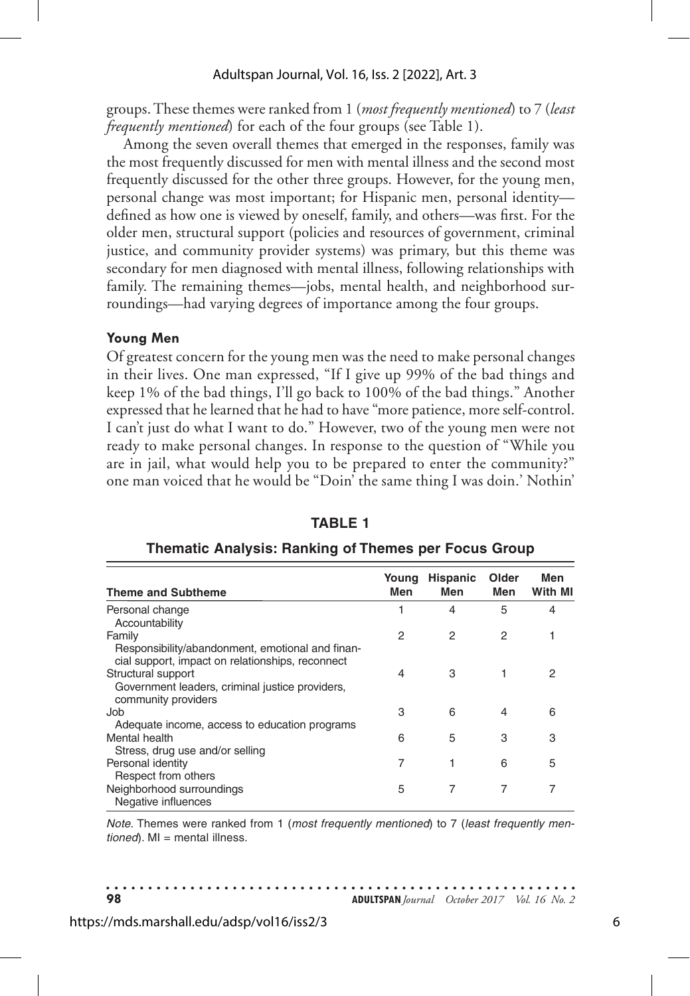groups. These themes were ranked from 1 (*most frequently mentioned*) to 7 (*least frequently mentioned*) for each of the four groups (see Table 1).

Among the seven overall themes that emerged in the responses, family was the most frequently discussed for men with mental illness and the second most frequently discussed for the other three groups. However, for the young men, personal change was most important; for Hispanic men, personal identity defined as how one is viewed by oneself, family, and others—was first. For the older men, structural support (policies and resources of government, criminal justice, and community provider systems) was primary, but this theme was secondary for men diagnosed with mental illness, following relationships with family. The remaining themes—jobs, mental health, and neighborhood surroundings—had varying degrees of importance among the four groups.

#### **Young Men**

Of greatest concern for the young men was the need to make personal changes in their lives. One man expressed, "If I give up 99% of the bad things and keep 1% of the bad things, I'll go back to 100% of the bad things." Another expressed that he learned that he had to have "more patience, more self-control. I can't just do what I want to do." However, two of the young men were not ready to make personal changes. In response to the question of "While you are in jail, what would help you to be prepared to enter the community?" one man voiced that he would be "Doin' the same thing I was doin.' Nothin'

| <b>Theme and Subtheme</b>                                                                                                                                                                            | Young<br>Men | <b>Hispanic</b><br>Men | Older<br>Men | Men<br>With MI |
|------------------------------------------------------------------------------------------------------------------------------------------------------------------------------------------------------|--------------|------------------------|--------------|----------------|
| Personal change<br>Accountability                                                                                                                                                                    |              | 4                      | 5            | 4              |
| Family                                                                                                                                                                                               | 2            | 2                      | 2            |                |
| Responsibility/abandonment, emotional and finan-<br>cial support, impact on relationships, reconnect<br>Structural support<br>Government leaders, criminal justice providers,<br>community providers | 4            | 3                      |              | 2              |
| Job                                                                                                                                                                                                  | 3            | 6                      | 4            | 6              |
| Adequate income, access to education programs                                                                                                                                                        |              |                        |              |                |
| Mental health                                                                                                                                                                                        | 6            | 5                      | 3            | 3              |
| Stress, drug use and/or selling                                                                                                                                                                      |              |                        |              |                |
| Personal identity                                                                                                                                                                                    | 7            | 1                      | 6            | 5              |
| Respect from others                                                                                                                                                                                  |              |                        |              |                |
| Neighborhood surroundings                                                                                                                                                                            | 5            |                        | 7            |                |
| Negative influences                                                                                                                                                                                  |              |                        |              |                |

**TABLE 1**

| <b>Thematic Analysis: Ranking of Themes per Focus Group</b> |  |  |
|-------------------------------------------------------------|--|--|

*Note.* Themes were ranked from 1 (*most frequently mentioned*) to 7 (*least frequently mentioned*). MI = mental illness.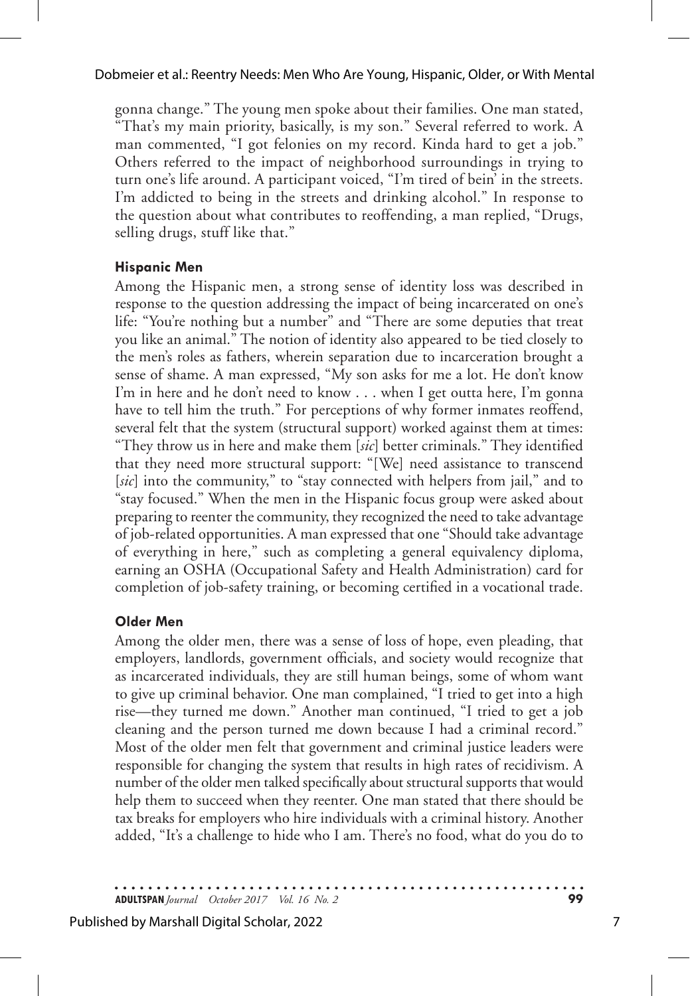gonna change." The young men spoke about their families. One man stated, "That's my main priority, basically, is my son." Several referred to work. A man commented, "I got felonies on my record. Kinda hard to get a job." Others referred to the impact of neighborhood surroundings in trying to turn one's life around. A participant voiced, "I'm tired of bein' in the streets. I'm addicted to being in the streets and drinking alcohol." In response to the question about what contributes to reoffending, a man replied, "Drugs, selling drugs, stuff like that."

### **Hispanic Men**

Among the Hispanic men, a strong sense of identity loss was described in response to the question addressing the impact of being incarcerated on one's life: "You're nothing but a number" and "There are some deputies that treat you like an animal." The notion of identity also appeared to be tied closely to the men's roles as fathers, wherein separation due to incarceration brought a sense of shame. A man expressed, "My son asks for me a lot. He don't know I'm in here and he don't need to know . . . when I get outta here, I'm gonna have to tell him the truth." For perceptions of why former inmates reoffend, several felt that the system (structural support) worked against them at times: "They throw us in here and make them [*sic*] better criminals." They identified that they need more structural support: "[We] need assistance to transcend [sic] into the community," to "stay connected with helpers from jail," and to "stay focused." When the men in the Hispanic focus group were asked about preparing to reenter the community, they recognized the need to take advantage of job-related opportunities. A man expressed that one "Should take advantage of everything in here," such as completing a general equivalency diploma, earning an OSHA (Occupational Safety and Health Administration) card for completion of job-safety training, or becoming certified in a vocational trade.

### **Older Men**

Among the older men, there was a sense of loss of hope, even pleading, that employers, landlords, government officials, and society would recognize that as incarcerated individuals, they are still human beings, some of whom want to give up criminal behavior. One man complained, "I tried to get into a high rise—they turned me down." Another man continued, "I tried to get a job cleaning and the person turned me down because I had a criminal record." Most of the older men felt that government and criminal justice leaders were responsible for changing the system that results in high rates of recidivism. A number of the older men talked specifically about structural supports that would help them to succeed when they reenter. One man stated that there should be tax breaks for employers who hire individuals with a criminal history. Another added, "It's a challenge to hide who I am. There's no food, what do you do to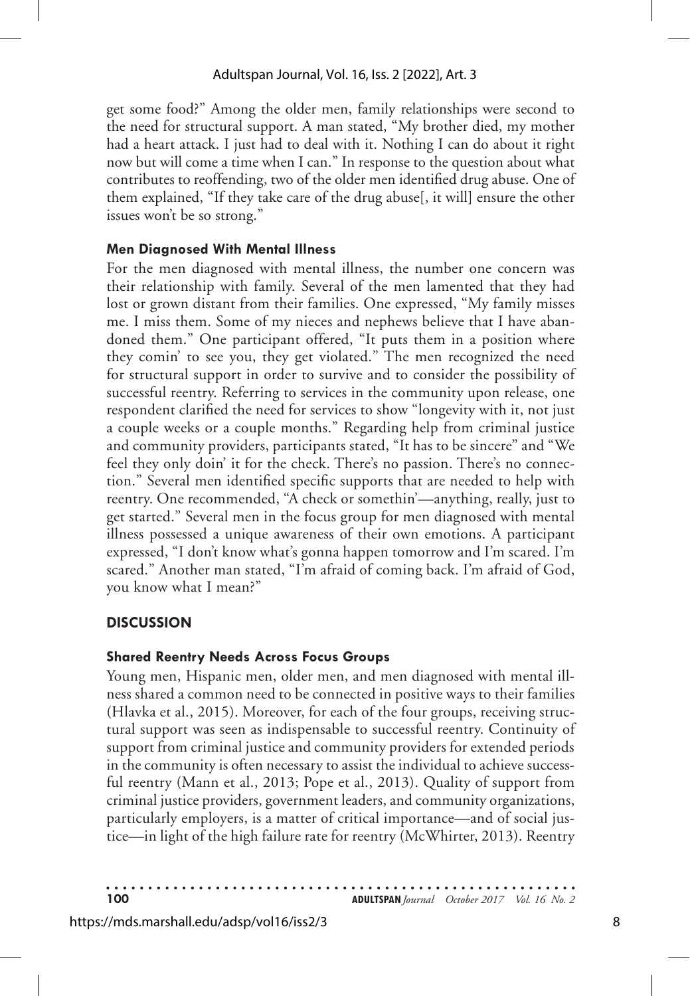get some food?" Among the older men, family relationships were second to the need for structural support. A man stated, "My brother died, my mother had a heart attack. I just had to deal with it. Nothing I can do about it right now but will come a time when I can." In response to the question about what contributes to reoffending, two of the older men identified drug abuse. One of them explained, "If they take care of the drug abuse[, it will] ensure the other issues won't be so strong."

### **Men Diagnosed With Mental Illness**

For the men diagnosed with mental illness, the number one concern was their relationship with family. Several of the men lamented that they had lost or grown distant from their families. One expressed, "My family misses me. I miss them. Some of my nieces and nephews believe that I have abandoned them." One participant offered, "It puts them in a position where they comin' to see you, they get violated." The men recognized the need for structural support in order to survive and to consider the possibility of successful reentry. Referring to services in the community upon release, one respondent clarified the need for services to show "longevity with it, not just a couple weeks or a couple months." Regarding help from criminal justice and community providers, participants stated, "It has to be sincere" and "We feel they only doin' it for the check. There's no passion. There's no connection." Several men identified specific supports that are needed to help with reentry. One recommended, "A check or somethin'—anything, really, just to get started." Several men in the focus group for men diagnosed with mental illness possessed a unique awareness of their own emotions. A participant expressed, "I don't know what's gonna happen tomorrow and I'm scared. I'm scared." Another man stated, "I'm afraid of coming back. I'm afraid of God, you know what I mean?"

# **DISCUSSION**

### **Shared Reentry Needs Across Focus Groups**

Young men, Hispanic men, older men, and men diagnosed with mental illness shared a common need to be connected in positive ways to their families (Hlavka et al., 2015). Moreover, for each of the four groups, receiving structural support was seen as indispensable to successful reentry. Continuity of support from criminal justice and community providers for extended periods in the community is often necessary to assist the individual to achieve successful reentry (Mann et al., 2013; Pope et al., 2013). Quality of support from criminal justice providers, government leaders, and community organizations, particularly employers, is a matter of critical importance—and of social justice—in light of the high failure rate for reentry (McWhirter, 2013). Reentry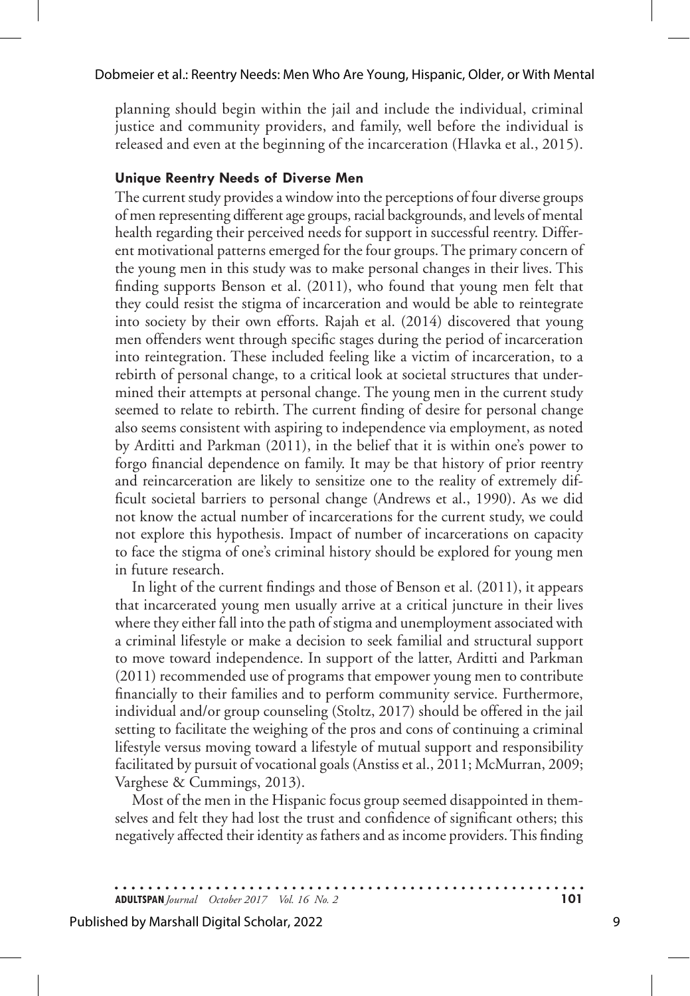#### Dobmeier et al.: Reentry Needs: Men Who Are Young, Hispanic, Older, or With Mental

planning should begin within the jail and include the individual, criminal justice and community providers, and family, well before the individual is released and even at the beginning of the incarceration (Hlavka et al., 2015).

#### **Unique Reentry Needs of Diverse Men**

The current study provides a window into the perceptions of four diverse groups of men representing different age groups, racial backgrounds, and levels of mental health regarding their perceived needs for support in successful reentry. Different motivational patterns emerged for the four groups. The primary concern of the young men in this study was to make personal changes in their lives. This finding supports Benson et al. (2011), who found that young men felt that they could resist the stigma of incarceration and would be able to reintegrate into society by their own efforts. Rajah et al. (2014) discovered that young men offenders went through specific stages during the period of incarceration into reintegration. These included feeling like a victim of incarceration, to a rebirth of personal change, to a critical look at societal structures that undermined their attempts at personal change. The young men in the current study seemed to relate to rebirth. The current finding of desire for personal change also seems consistent with aspiring to independence via employment, as noted by Arditti and Parkman (2011), in the belief that it is within one's power to forgo financial dependence on family. It may be that history of prior reentry and reincarceration are likely to sensitize one to the reality of extremely difficult societal barriers to personal change (Andrews et al., 1990). As we did not know the actual number of incarcerations for the current study, we could not explore this hypothesis. Impact of number of incarcerations on capacity to face the stigma of one's criminal history should be explored for young men in future research.

In light of the current findings and those of Benson et al. (2011), it appears that incarcerated young men usually arrive at a critical juncture in their lives where they either fall into the path of stigma and unemployment associated with a criminal lifestyle or make a decision to seek familial and structural support to move toward independence. In support of the latter, Arditti and Parkman (2011) recommended use of programs that empower young men to contribute financially to their families and to perform community service. Furthermore, individual and/or group counseling (Stoltz, 2017) should be offered in the jail setting to facilitate the weighing of the pros and cons of continuing a criminal lifestyle versus moving toward a lifestyle of mutual support and responsibility facilitated by pursuit of vocational goals (Anstiss et al., 2011; McMurran, 2009; Varghese & Cummings, 2013).

Most of the men in the Hispanic focus group seemed disappointed in themselves and felt they had lost the trust and confidence of significant others; this negatively affected their identity as fathers and as income providers. This finding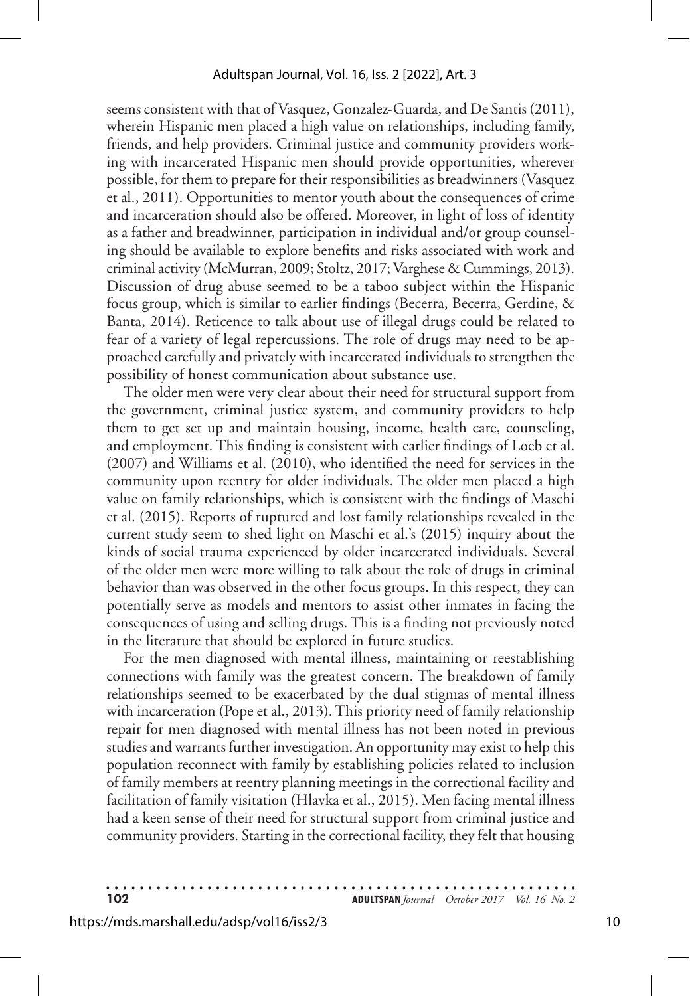seems consistent with that of Vasquez, Gonzalez-Guarda, and De Santis (2011), wherein Hispanic men placed a high value on relationships, including family, friends, and help providers. Criminal justice and community providers working with incarcerated Hispanic men should provide opportunities, wherever possible, for them to prepare for their responsibilities as breadwinners (Vasquez et al., 2011). Opportunities to mentor youth about the consequences of crime and incarceration should also be offered. Moreover, in light of loss of identity as a father and breadwinner, participation in individual and/or group counseling should be available to explore benefits and risks associated with work and criminal activity (McMurran, 2009; Stoltz, 2017; Varghese & Cummings, 2013). Discussion of drug abuse seemed to be a taboo subject within the Hispanic focus group, which is similar to earlier findings (Becerra, Becerra, Gerdine, & Banta, 2014). Reticence to talk about use of illegal drugs could be related to fear of a variety of legal repercussions. The role of drugs may need to be approached carefully and privately with incarcerated individuals to strengthen the possibility of honest communication about substance use.

The older men were very clear about their need for structural support from the government, criminal justice system, and community providers to help them to get set up and maintain housing, income, health care, counseling, and employment. This finding is consistent with earlier findings of Loeb et al. (2007) and Williams et al. (2010), who identified the need for services in the community upon reentry for older individuals. The older men placed a high value on family relationships, which is consistent with the findings of Maschi et al. (2015). Reports of ruptured and lost family relationships revealed in the current study seem to shed light on Maschi et al.'s (2015) inquiry about the kinds of social trauma experienced by older incarcerated individuals. Several of the older men were more willing to talk about the role of drugs in criminal behavior than was observed in the other focus groups. In this respect, they can potentially serve as models and mentors to assist other inmates in facing the consequences of using and selling drugs. This is a finding not previously noted in the literature that should be explored in future studies.

For the men diagnosed with mental illness, maintaining or reestablishing connections with family was the greatest concern. The breakdown of family relationships seemed to be exacerbated by the dual stigmas of mental illness with incarceration (Pope et al., 2013). This priority need of family relationship repair for men diagnosed with mental illness has not been noted in previous studies and warrants further investigation. An opportunity may exist to help this population reconnect with family by establishing policies related to inclusion of family members at reentry planning meetings in the correctional facility and facilitation of family visitation (Hlavka et al., 2015). Men facing mental illness had a keen sense of their need for structural support from criminal justice and community providers. Starting in the correctional facility, they felt that housing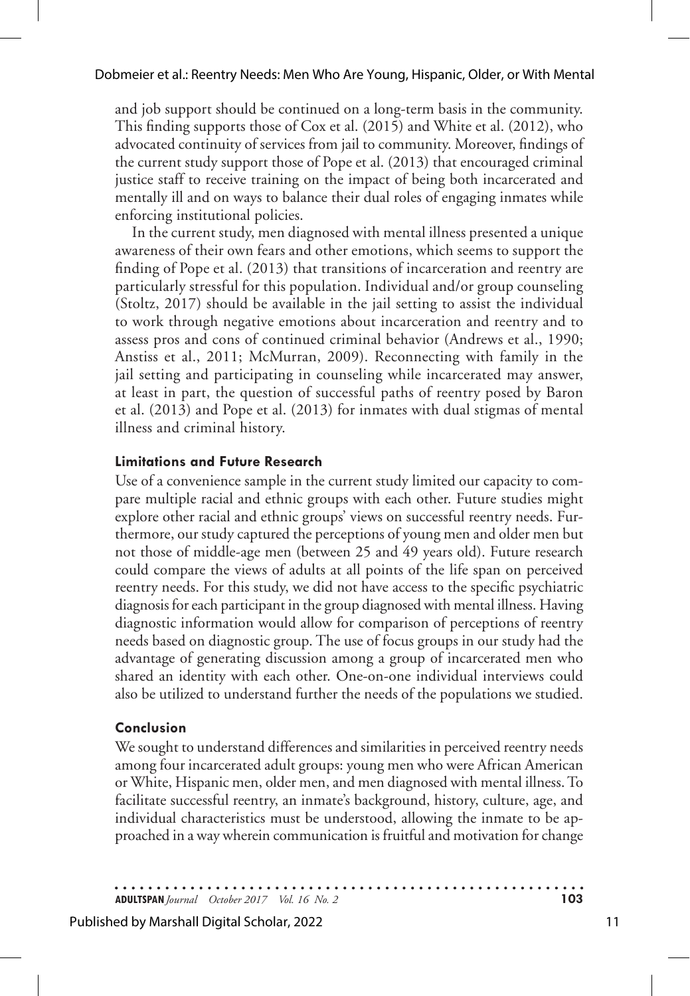and job support should be continued on a long-term basis in the community. This finding supports those of Cox et al. (2015) and White et al. (2012), who advocated continuity of services from jail to community. Moreover, findings of the current study support those of Pope et al. (2013) that encouraged criminal justice staff to receive training on the impact of being both incarcerated and mentally ill and on ways to balance their dual roles of engaging inmates while enforcing institutional policies.

In the current study, men diagnosed with mental illness presented a unique awareness of their own fears and other emotions, which seems to support the finding of Pope et al. (2013) that transitions of incarceration and reentry are particularly stressful for this population. Individual and/or group counseling (Stoltz, 2017) should be available in the jail setting to assist the individual to work through negative emotions about incarceration and reentry and to assess pros and cons of continued criminal behavior (Andrews et al., 1990; Anstiss et al., 2011; McMurran, 2009). Reconnecting with family in the jail setting and participating in counseling while incarcerated may answer, at least in part, the question of successful paths of reentry posed by Baron et al. (2013) and Pope et al. (2013) for inmates with dual stigmas of mental illness and criminal history.

### **Limitations and Future Research**

Use of a convenience sample in the current study limited our capacity to compare multiple racial and ethnic groups with each other. Future studies might explore other racial and ethnic groups' views on successful reentry needs. Furthermore, our study captured the perceptions of young men and older men but not those of middle-age men (between 25 and 49 years old). Future research could compare the views of adults at all points of the life span on perceived reentry needs. For this study, we did not have access to the specific psychiatric diagnosis for each participant in the group diagnosed with mental illness. Having diagnostic information would allow for comparison of perceptions of reentry needs based on diagnostic group. The use of focus groups in our study had the advantage of generating discussion among a group of incarcerated men who shared an identity with each other. One-on-one individual interviews could also be utilized to understand further the needs of the populations we studied.

### **Conclusion**

We sought to understand differences and similarities in perceived reentry needs among four incarcerated adult groups: young men who were African American or White, Hispanic men, older men, and men diagnosed with mental illness. To facilitate successful reentry, an inmate's background, history, culture, age, and individual characteristics must be understood, allowing the inmate to be approached in a way wherein communication is fruitful and motivation for change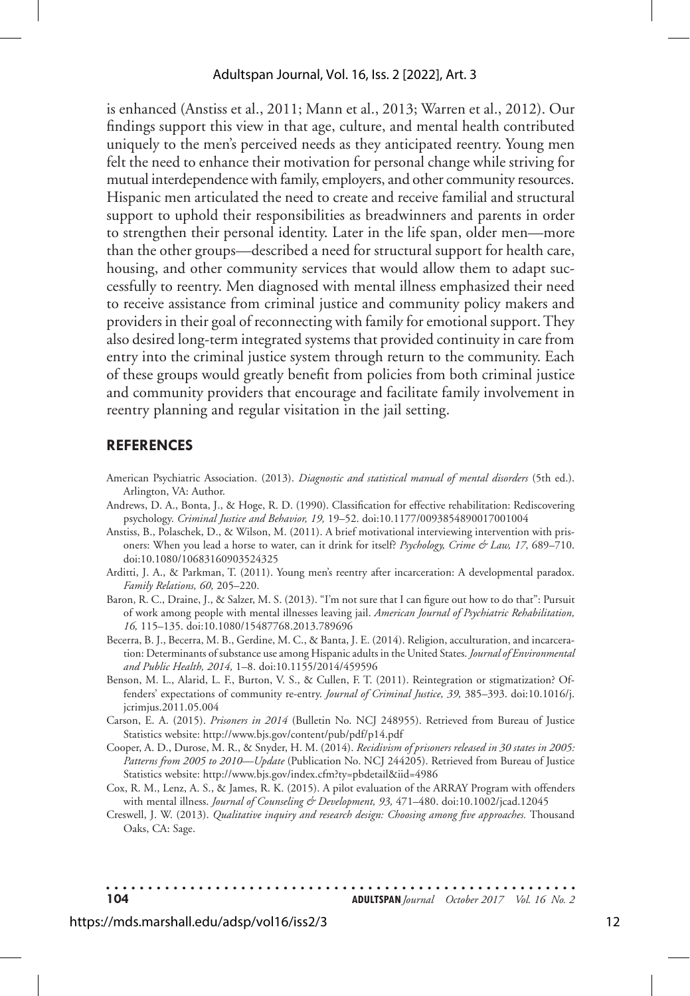is enhanced (Anstiss et al., 2011; Mann et al., 2013; Warren et al., 2012). Our findings support this view in that age, culture, and mental health contributed uniquely to the men's perceived needs as they anticipated reentry. Young men felt the need to enhance their motivation for personal change while striving for mutual interdependence with family, employers, and other community resources. Hispanic men articulated the need to create and receive familial and structural support to uphold their responsibilities as breadwinners and parents in order to strengthen their personal identity. Later in the life span, older men—more than the other groups—described a need for structural support for health care, housing, and other community services that would allow them to adapt successfully to reentry. Men diagnosed with mental illness emphasized their need to receive assistance from criminal justice and community policy makers and providers in their goal of reconnecting with family for emotional support. They also desired long-term integrated systems that provided continuity in care from entry into the criminal justice system through return to the community. Each of these groups would greatly benefit from policies from both criminal justice and community providers that encourage and facilitate family involvement in reentry planning and regular visitation in the jail setting.

#### **REFERENCES**

- American Psychiatric Association. (2013). *Diagnostic and statistical manual of mental disorders* (5th ed.). Arlington, VA: Author.
- Andrews, D. A., Bonta, J., & Hoge, R. D. (1990). Classification for effective rehabilitation: Rediscovering psychology. *Criminal Justice and Behavior, 19,* 19–52. doi:10.1177/0093854890017001004
- Anstiss, B., Polaschek, D., & Wilson, M. (2011). A brief motivational interviewing intervention with prisoners: When you lead a horse to water, can it drink for itself? *Psychology, Crime & Law, 17,* 689–710. doi:10.1080/10683160903524325
- Arditti, J. A., & Parkman, T. (2011). Young men's reentry after incarceration: A developmental paradox. *Family Relations, 60,* 205–220.
- Baron, R. C., Draine, J., & Salzer, M. S. (2013). "I'm not sure that I can figure out how to do that": Pursuit of work among people with mental illnesses leaving jail. *American Journal of Psychiatric Rehabilitation, 16,* 115–135. doi:10.1080/15487768.2013.789696
- Becerra, B. J., Becerra, M. B., Gerdine, M. C., & Banta, J. E. (2014). Religion, acculturation, and incarceration: Determinants of substance use among Hispanic adults in the United States. *Journal of Environmental and Public Health, 2014,* 1–8. doi:10.1155/2014/459596
- Benson, M. L., Alarid, L. F., Burton, V. S., & Cullen, F. T. (2011). Reintegration or stigmatization? Offenders' expectations of community re-entry. *Journal of Criminal Justice, 39,* 385–393. doi:10.1016/j. jcrimjus.2011.05.004
- Carson, E. A. (2015). *Prisoners in 2014* (Bulletin No. NCJ 248955). Retrieved from Bureau of Justice Statistics website: http://www.bjs.gov/content/pub/pdf/p14.pdf
- Cooper, A. D., Durose, M. R., & Snyder, H. M. (2014). *Recidivism of prisoners released in 30 states in 2005: Patterns from 2005 to 2010—Update* (Publication No. NCJ 244205). Retrieved from Bureau of Justice Statistics website: http://www.bjs.gov/index.cfm?ty=pbdetail&iid=4986
- Cox, R. M., Lenz, A. S., & James, R. K. (2015). A pilot evaluation of the ARRAY Program with offenders with mental illness. *Journal of Counseling & Development, 93,* 471–480. doi:10.1002/jcad.12045
- Creswell, J. W. (2013). *Qualitative inquiry and research design: Choosing among five approaches.* Thousand Oaks, CA: Sage.

. . . . . . . . .